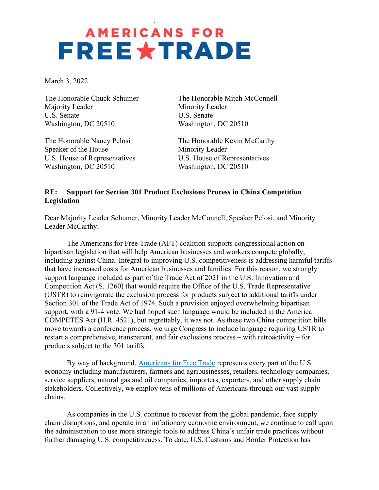## **AMERICANS FOR FREEXTRADE**

March 3, 2022

Majority Leader Minority Leader U.S. Senate U.S. Senate Washington, DC 20510 Washington, DC 20510

Speaker of the House Minority Leader U.S. House of Representatives U.S. House of Representatives Washington, DC 20510 Washington, DC 20510

The Honorable Chuck Schumer The Honorable Mitch McConnell

The Honorable Nancy Pelosi The Honorable Kevin McCarthy

### RE: Support for Section 301 Product Exclusions Process in China Competition Legislation

Dear Majority Leader Schumer, Minority Leader McConnell, Speaker Pelosi, and Minority Leader McCarthy:

 The Americans for Free Trade (AFT) coalition supports congressional action on bipartisan legislation that will help American businesses and workers compete globally, including against China. Integral to improving U.S. competitiveness is addressing harmful tariffs that have increased costs for American businesses and families. For this reason, we strongly support language included as part of the Trade Act of 2021 in the U.S. Innovation and Competition Act (S. 1260) that would require the Office of the U.S. Trade Representative (USTR) to reinvigorate the exclusion process for products subject to additional tariffs under Section 301 of the Trade Act of 1974. Such a provision enjoyed overwhelming bipartisan support, with a 91-4 vote. We had hoped such language would be included in the America COMPETES Act (H.R. 4521), but regrettably, it was not. As these two China competition bills move towards a conference process, we urge Congress to include language requiring USTR to restart a comprehensive, transparent, and fair exclusions process – with retroactivity – for products subject to the 301 tariffs.

 By way of background, Americans for Free Trade represents every part of the U.S. economy including manufacturers, farmers and agribusinesses, retailers, technology companies, service suppliers, natural gas and oil companies, importers, exporters, and other supply chain stakeholders. Collectively, we employ tens of millions of Americans through our vast supply chains.

 As companies in the U.S. continue to recover from the global pandemic, face supply chain disruptions, and operate in an inflationary economic environment, we continue to call upon the administration to use more strategic tools to address China's unfair trade practices without further damaging U.S. competitiveness. To date, U.S. Customs and Border Protection has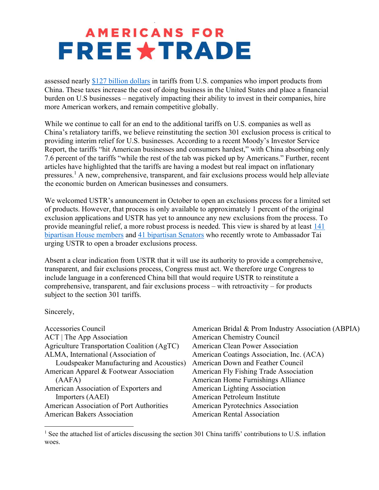## **AMERICANS FOR FREE\*TRADE**

assessed nearly \$127 billion dollars in tariffs from U.S. companies who import products from China. These taxes increase the cost of doing business in the United States and place a financial burden on U.S businesses – negatively impacting their ability to invest in their companies, hire more American workers, and remain competitive globally.

While we continue to call for an end to the additional tariffs on U.S. companies as well as China's retaliatory tariffs, we believe reinstituting the section 301 exclusion process is critical to providing interim relief for U.S. businesses. According to a recent Moody's Investor Service Report, the tariffs "hit American businesses and consumers hardest," with China absorbing only 7.6 percent of the tariffs "while the rest of the tab was picked up by Americans." Further, recent articles have highlighted that the tariffs are having a modest but real impact on inflationary pressures.<sup>1</sup> A new, comprehensive, transparent, and fair exclusions process would help alleviate the economic burden on American businesses and consumers.

We welcomed USTR's announcement in October to open an exclusions process for a limited set of products. However, that process is only available to approximately 1 percent of the original exclusion applications and USTR has yet to announce any new exclusions from the process. To provide meaningful relief, a more robust process is needed. This view is shared by at least 141 bipartisan House members and 41 bipartisan Senators who recently wrote to Ambassador Tai urging USTR to open a broader exclusions process.

Absent a clear indication from USTR that it will use its authority to provide a comprehensive, transparent, and fair exclusions process, Congress must act. We therefore urge Congress to include language in a conferenced China bill that would require USTR to reinstitute a comprehensive, transparent, and fair exclusions process – with retroactivity – for products subject to the section 301 tariffs.

Sincerely,

| <b>Accessories Council</b>                      |
|-------------------------------------------------|
| $ACT$ The App Association                       |
| Agriculture Transportation Coalition (AgTC)     |
| ALMA, International (Association of             |
| Loudspeaker Manufacturing and Acoustics)        |
| American Apparel & Footwear Association         |
| (AAFA)                                          |
| American Association of Exporters and           |
| Importers (AAEI)                                |
| <b>American Association of Port Authorities</b> |
| <b>American Bakers Association</b>              |

American Bridal & Prom Industry Association (ABPIA) American Chemistry Council American Clean Power Association American Coatings Association, Inc. (ACA) American Down and Feather Council American Fly Fishing Trade Association American Home Furnishings Alliance American Lighting Association American Petroleum Institute American Pyrotechnics Association American Rental Association

<sup>&</sup>lt;sup>1</sup> See the attached list of articles discussing the section 301 China tariffs' contributions to U.S. inflation woes.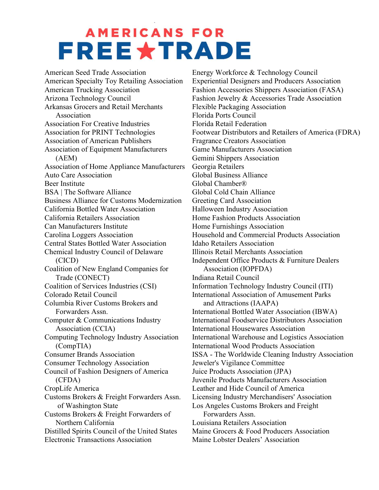## **AMERICANS FOR FREE \* TRADE**

American Seed Trade Association American Specialty Toy Retailing Association American Trucking Association Arizona Technology Council Arkansas Grocers and Retail Merchants Association Association For Creative Industries Association for PRINT Technologies Association of American Publishers Association of Equipment Manufacturers (AEM) Association of Home Appliance Manufacturers Auto Care Association Beer Institute BSA | The Software Alliance Business Alliance for Customs Modernization California Bottled Water Association California Retailers Association Can Manufacturers Institute Carolina Loggers Association Central States Bottled Water Association Chemical Industry Council of Delaware (CICD) Coalition of New England Companies for Trade (CONECT) Coalition of Services Industries (CSI) Colorado Retail Council Columbia River Customs Brokers and Forwarders Assn. Computer & Communications Industry Association (CCIA) Computing Technology Industry Association (CompTIA) Consumer Brands Association Consumer Technology Association Council of Fashion Designers of America (CFDA) CropLife America Customs Brokers & Freight Forwarders Assn. of Washington State Customs Brokers & Freight Forwarders of Northern California Distilled Spirits Council of the United States Electronic Transactions Association

Energy Workforce & Technology Council Experiential Designers and Producers Association Fashion Accessories Shippers Association (FASA) Fashion Jewelry & Accessories Trade Association Flexible Packaging Association Florida Ports Council Florida Retail Federation Footwear Distributors and Retailers of America (FDRA) Fragrance Creators Association Game Manufacturers Association Gemini Shippers Association Georgia Retailers Global Business Alliance Global Chamber® Global Cold Chain Alliance Greeting Card Association Halloween Industry Association Home Fashion Products Association Home Furnishings Association Household and Commercial Products Association Idaho Retailers Association Illinois Retail Merchants Association Independent Office Products & Furniture Dealers Association (IOPFDA) Indiana Retail Council Information Technology Industry Council (ITI) International Association of Amusement Parks and Attractions (IAAPA) International Bottled Water Association (IBWA) International Foodservice Distributors Association International Housewares Association International Warehouse and Logistics Association International Wood Products Association ISSA - The Worldwide Cleaning Industry Association Jeweler's Vigilance Committee Juice Products Association (JPA) Juvenile Products Manufacturers Association Leather and Hide Council of America Licensing Industry Merchandisers' Association Los Angeles Customs Brokers and Freight Forwarders Assn. Louisiana Retailers Association Maine Grocers & Food Producers Association Maine Lobster Dealers' Association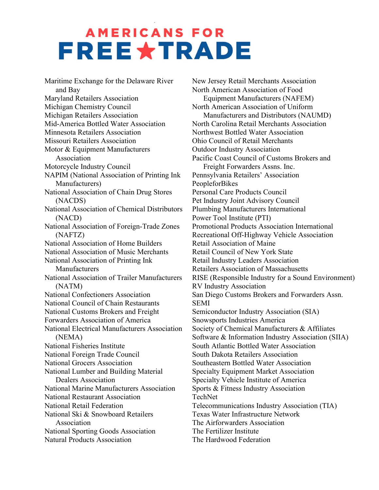## **AMERICANS FOR FREE \* TRADE**

Maritime Exchange for the Delaware River and Bay Maryland Retailers Association Michigan Chemistry Council Michigan Retailers Association Mid-America Bottled Water Association Minnesota Retailers Association Missouri Retailers Association Motor & Equipment Manufacturers Association Motorcycle Industry Council NAPIM (National Association of Printing Ink Manufacturers) National Association of Chain Drug Stores (NACDS) National Association of Chemical Distributors (NACD) National Association of Foreign-Trade Zones (NAFTZ) National Association of Home Builders National Association of Music Merchants National Association of Printing Ink Manufacturers National Association of Trailer Manufacturers (NATM) National Confectioners Association National Council of Chain Restaurants National Customs Brokers and Freight Forwarders Association of America National Electrical Manufacturers Association (NEMA) National Fisheries Institute National Foreign Trade Council National Grocers Association National Lumber and Building Material Dealers Association National Marine Manufacturers Association National Restaurant Association National Retail Federation National Ski & Snowboard Retailers Association National Sporting Goods Association Natural Products Association

New Jersey Retail Merchants Association North American Association of Food Equipment Manufacturers (NAFEM) North American Association of Uniform Manufacturers and Distributors (NAUMD) North Carolina Retail Merchants Association Northwest Bottled Water Association Ohio Council of Retail Merchants Outdoor Industry Association Pacific Coast Council of Customs Brokers and Freight Forwarders Assns. Inc. Pennsylvania Retailers' Association PeopleforBikes Personal Care Products Council Pet Industry Joint Advisory Council Plumbing Manufacturers International Power Tool Institute (PTI) Promotional Products Association International Recreational Off-Highway Vehicle Association Retail Association of Maine Retail Council of New York State Retail Industry Leaders Association Retailers Association of Massachusetts RISE (Responsible Industry for a Sound Environment) RV Industry Association San Diego Customs Brokers and Forwarders Assn. SEMI Semiconductor Industry Association (SIA) Snowsports Industries America Society of Chemical Manufacturers & Affiliates Software & Information Industry Association (SIIA) South Atlantic Bottled Water Association South Dakota Retailers Association Southeastern Bottled Water Association Specialty Equipment Market Association Specialty Vehicle Institute of America Sports & Fitness Industry Association TechNet Telecommunications Industry Association (TIA) Texas Water Infrastructure Network The Airforwarders Association The Fertilizer Institute The Hardwood Federation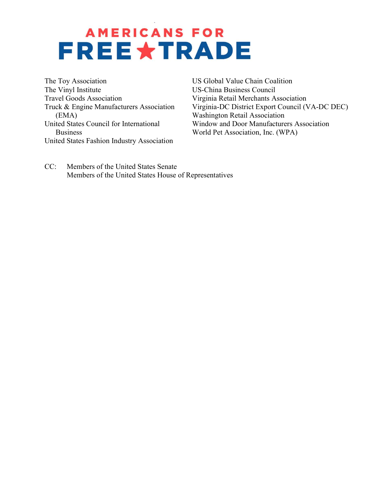## **AMERICANS FOR FREE\*TRADE**

The Toy Association The Vinyl Institute Travel Goods Association Truck & Engine Manufacturers Association (EMA) United States Council for International Business United States Fashion Industry Association

US Global Value Chain Coalition US-China Business Council Virginia Retail Merchants Association Virginia-DC District Export Council (VA-DC DEC) Washington Retail Association Window and Door Manufacturers Association World Pet Association, Inc. (WPA)

CC: Members of the United States Senate Members of the United States House of Representatives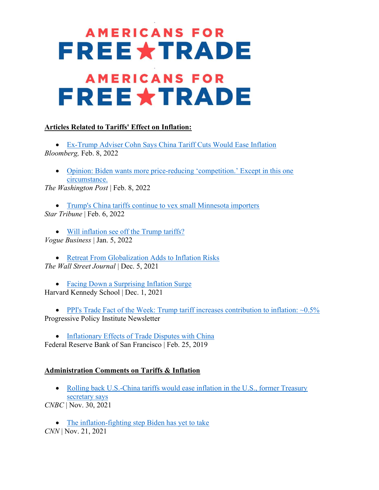# **AMERICANS FOR FREE\*TRADE AMERICANS FOR FREE \* TRADE**

### Articles Related to Tariffs' Effect on Inflation:

 Ex-Trump Adviser Cohn Says China Tariff Cuts Would Ease Inflation Bloomberg, Feb. 8, 2022

 Opinion: Biden wants more price-reducing 'competition.' Except in this one circumstance.

The Washington Post | Feb. 8, 2022

• Trump's China tariffs continue to vex small Minnesota importers Star Tribune | Feb. 6, 2022

 Will inflation see off the Trump tariffs? Vogue Business | Jan. 5, 2022

• Retreat From Globalization Adds to Inflation Risks The Wall Street Journal | Dec. 5, 2021

• Facing Down a Surprising Inflation Surge Harvard Kennedy School | Dec. 1, 2021

• PPI's Trade Fact of the Week: Trump tariff increases contribution to inflation:  $\sim 0.5\%$ Progressive Policy Institute Newsletter

• Inflationary Effects of Trade Disputes with China Federal Reserve Bank of San Francisco | Feb. 25, 2019

#### Administration Comments on Tariffs & Inflation

• Rolling back U.S.-China tariffs would ease inflation in the U.S., former Treasury secretary says

CNBC | Nov. 30, 2021

• The inflation-fighting step Biden has yet to take

CNN | Nov. 21, 2021